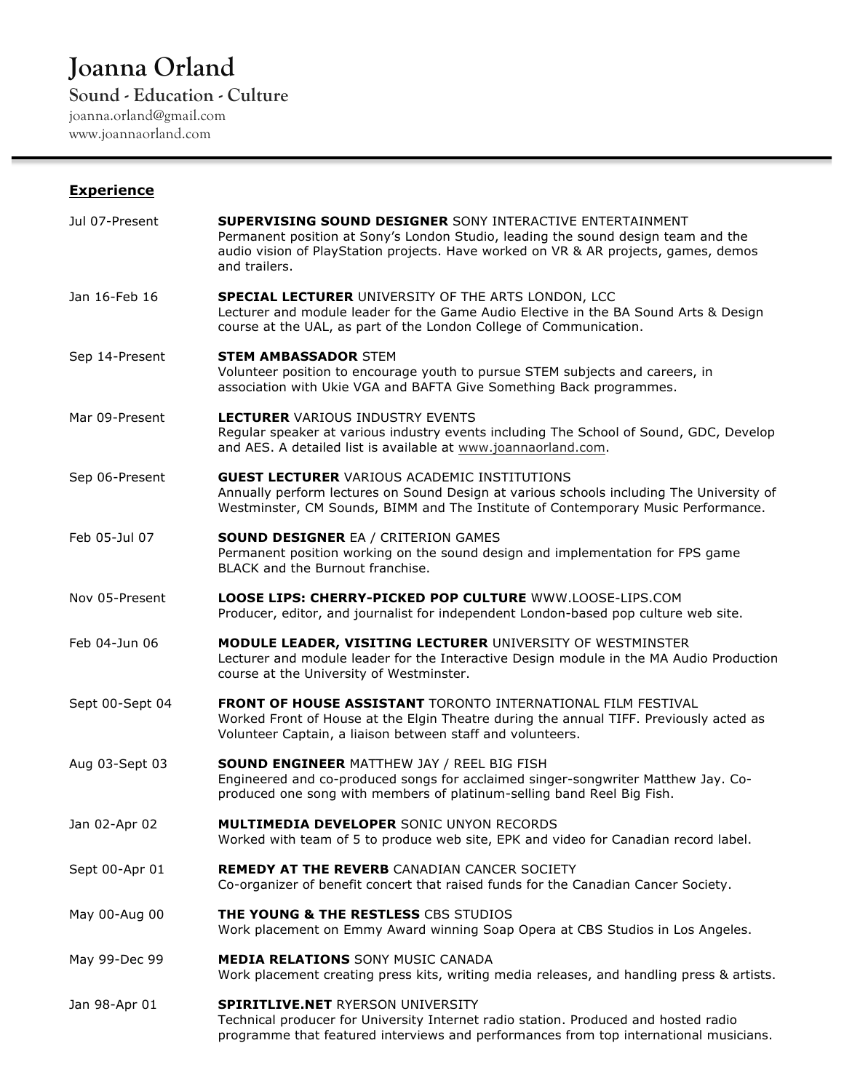# **Joanna Orland**

**Sound - Education - Culture**  joanna.orland@gmail.com www.joannaorland.com

| <b>Experience</b> |                                                                                                                                                                                                                                                               |
|-------------------|---------------------------------------------------------------------------------------------------------------------------------------------------------------------------------------------------------------------------------------------------------------|
| Jul 07-Present    | <b>SUPERVISING SOUND DESIGNER SONY INTERACTIVE ENTERTAINMENT</b><br>Permanent position at Sony's London Studio, leading the sound design team and the<br>audio vision of PlayStation projects. Have worked on VR & AR projects, games, demos<br>and trailers. |
| Jan 16-Feb 16     | <b>SPECIAL LECTURER UNIVERSITY OF THE ARTS LONDON, LCC</b><br>Lecturer and module leader for the Game Audio Elective in the BA Sound Arts & Design<br>course at the UAL, as part of the London College of Communication.                                      |
| Sep 14-Present    | <b>STEM AMBASSADOR STEM</b><br>Volunteer position to encourage youth to pursue STEM subjects and careers, in<br>association with Ukie VGA and BAFTA Give Something Back programmes.                                                                           |
| Mar 09-Present    | <b>LECTURER VARIOUS INDUSTRY EVENTS</b><br>Regular speaker at various industry events including The School of Sound, GDC, Develop<br>and AES. A detailed list is available at www.joannaorland.com.                                                           |
| Sep 06-Present    | <b>GUEST LECTURER VARIOUS ACADEMIC INSTITUTIONS</b><br>Annually perform lectures on Sound Design at various schools including The University of<br>Westminster, CM Sounds, BIMM and The Institute of Contemporary Music Performance.                          |
| Feb 05-Jul 07     | <b>SOUND DESIGNER EA / CRITERION GAMES</b><br>Permanent position working on the sound design and implementation for FPS game<br>BLACK and the Burnout franchise.                                                                                              |
| Nov 05-Present    | <b>LOOSE LIPS: CHERRY-PICKED POP CULTURE WWW.LOOSE-LIPS.COM</b><br>Producer, editor, and journalist for independent London-based pop culture web site.                                                                                                        |
| Feb 04-Jun 06     | <b>MODULE LEADER, VISITING LECTURER UNIVERSITY OF WESTMINSTER</b><br>Lecturer and module leader for the Interactive Design module in the MA Audio Production<br>course at the University of Westminster.                                                      |
| Sept 00-Sept 04   | <b>FRONT OF HOUSE ASSISTANT TORONTO INTERNATIONAL FILM FESTIVAL</b><br>Worked Front of House at the Elgin Theatre during the annual TIFF. Previously acted as<br>Volunteer Captain, a liaison between staff and volunteers.                                   |
| Aug 03-Sept 03    | <b>SOUND ENGINEER MATTHEW JAY / REEL BIG FISH</b><br>Engineered and co-produced songs for acclaimed singer-songwriter Matthew Jay. Co-<br>produced one song with members of platinum-selling band Reel Big Fish.                                              |
| Jan 02-Apr 02     | <b>MULTIMEDIA DEVELOPER SONIC UNYON RECORDS</b><br>Worked with team of 5 to produce web site, EPK and video for Canadian record label.                                                                                                                        |
| Sept 00-Apr 01    | <b>REMEDY AT THE REVERB CANADIAN CANCER SOCIETY</b><br>Co-organizer of benefit concert that raised funds for the Canadian Cancer Society.                                                                                                                     |
| May 00-Aug 00     | THE YOUNG & THE RESTLESS CBS STUDIOS<br>Work placement on Emmy Award winning Soap Opera at CBS Studios in Los Angeles.                                                                                                                                        |
| May 99-Dec 99     | <b>MEDIA RELATIONS SONY MUSIC CANADA</b><br>Work placement creating press kits, writing media releases, and handling press & artists.                                                                                                                         |
| Jan 98-Apr 01     | <b>SPIRITLIVE.NET RYERSON UNIVERSITY</b><br>Technical producer for University Internet radio station. Produced and hosted radio<br>programme that featured interviews and performances from top international musicians.                                      |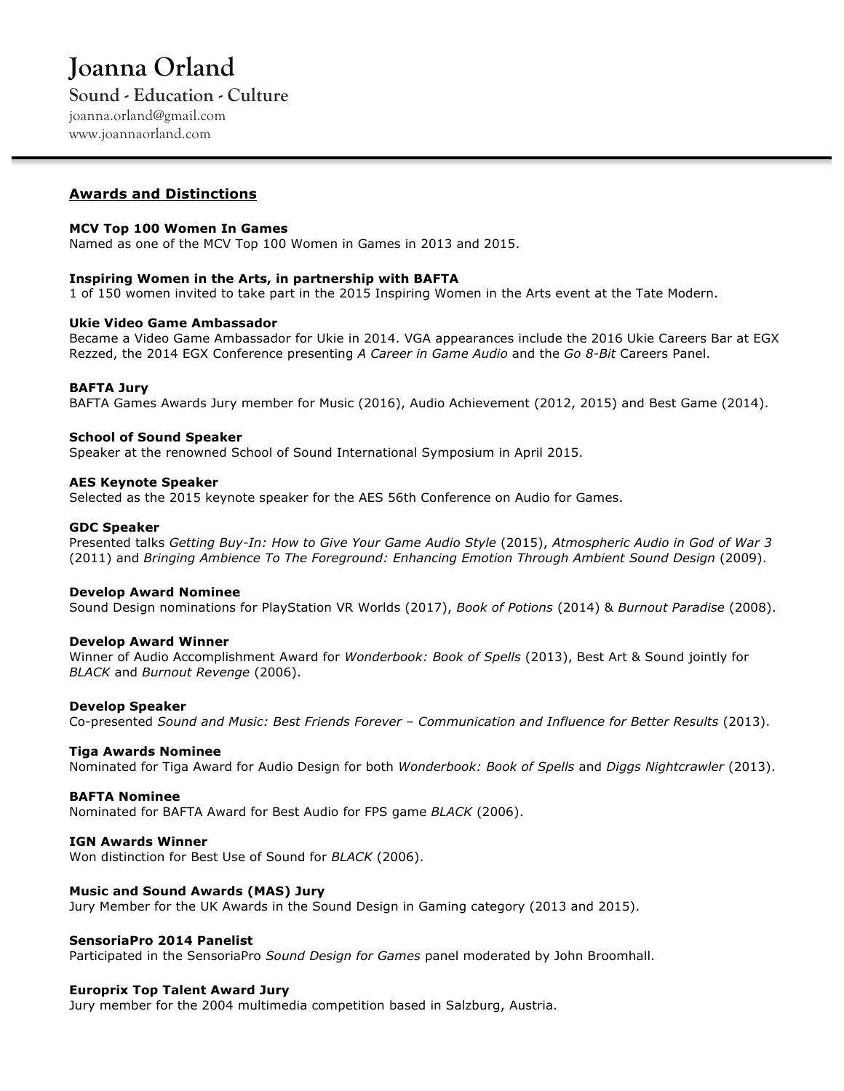# **Joanna Orland**

# **Sound - Education - Culture**

joanna.orland@gmail.com www.joannaorland.com

# **Awards and Distinctions**

#### **MCV Top 100 Women In Games**

Named as one of the MCV Top 100 Women in Games in 2013 and 2015.

#### **Inspiring Women in the Arts, in partnership with BAFTA**

1 of 150 women invited to take part in the 2015 Inspiring Women in the Arts event at the Tate Modern.

#### **Ukie Video Game Ambassador**

Became a Video Game Ambassador for Ukie in 2014. VGA appearances include the 2016 Ukie Careers Bar at EGX Rezzed, the 2014 EGX Conference presenting *A Career in Game Audio* and the *Go 8-Bit* Careers Panel.

#### **BAFTA Jury**

BAFTA Games Awards Jury member for Music (2016), Audio Achievement (2012, 2015) and Best Game (2014).

#### **School of Sound Speaker**

Speaker at the renowned School of Sound International Symposium in April 2015.

#### **AES Keynote Speaker**

Selected as the 2015 keynote speaker for the AES 56th Conference on Audio for Games.

#### **GDC Speaker**

Presented talks *Getting Buy-In: How to Give Your Game Audio Style* (2015), *Atmospheric Audio in God of War 3* (2011) and *Bringing Ambience To The Foreground: Enhancing Emotion Through Ambient Sound Design* (2009).

#### **Develop Award Nominee**

Sound Design nominations for PlayStation VR Worlds (2017), *Book of Potions* (2014) & *Burnout Paradise* (2008).

#### **Develop Award Winner**

Winner of Audio Accomplishment Award for *Wonderbook: Book of Spells* (2013), Best Art & Sound jointly for *BLACK* and *Burnout Revenge* (2006).

#### **Develop Speaker**

Co-presented *Sound and Music: Best Friends Forever – Communication and Influence for Better Results* (2013).

#### **Tiga Awards Nominee**

Nominated for Tiga Award for Audio Design for both *Wonderbook: Book of Spells* and *Diggs Nightcrawler* (2013).

#### **BAFTA Nominee**

Nominated for BAFTA Award for Best Audio for FPS game *BLACK* (2006).

#### **IGN Awards Winner**

Won distinction for Best Use of Sound for *BLACK* (2006).

#### **Music and Sound Awards (MAS) Jury**

Jury Member for the UK Awards in the Sound Design in Gaming category (2013 and 2015).

#### **SensoriaPro 2014 Panelist**

Participated in the SensoriaPro *Sound Design for Games* panel moderated by John Broomhall.

#### **Europrix Top Talent Award Jury**

Jury member for the 2004 multimedia competition based in Salzburg, Austria.